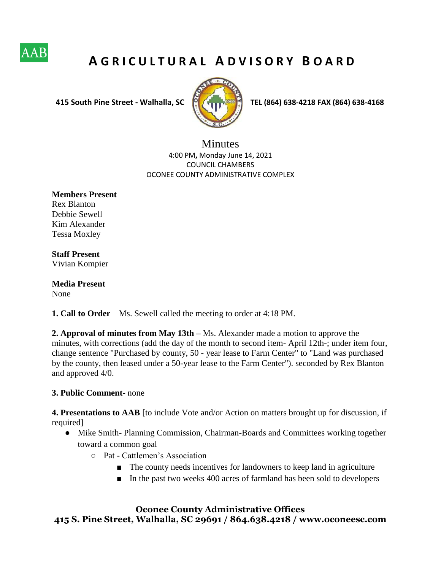

## **A G R I C U L T U R A L A D V I S O R Y B O A R D**



 **415 South Pine Street - Walhalla, SC TEL (864) 638-4218 FAX (864) 638-4168**

**Minutes** 4:00 PM**,** Monday June 14, 2021 COUNCIL CHAMBERS OCONEE COUNTY ADMINISTRATIVE COMPLEX

**Members Present**  Rex Blanton Debbie Sewell Kim Alexander Tessa Moxley

**Staff Present**  Vivian Kompier

**Media Present**  None

**1. Call to Order** – Ms. Sewell called the meeting to order at 4:18 PM.

**2. Approval of minutes from May 13th – Ms. Alexander made a motion to approve the** minutes, with corrections (add the day of the month to second item- April 12th-; under item four, change sentence "Purchased by county, 50 - year lease to Farm Center" to "Land was purchased by the county, then leased under a 50-year lease to the Farm Center"). seconded by Rex Blanton and approved 4/0.

## **3. Public Comment-** none

**4. Presentations to AAB** [to include Vote and/or Action on matters brought up for discussion, if required]

- Mike Smith- Planning Commission, Chairman-Boards and Committees working together toward a common goal
	- Pat Cattlemen's Association
		- The county needs incentives for landowners to keep land in agriculture
		- In the past two weeks 400 acres of farmland has been sold to developers

**Oconee County Administrative Offices 415 S. Pine Street, Walhalla, SC 29691 / 864.638.4218 / www.oconeesc.com**